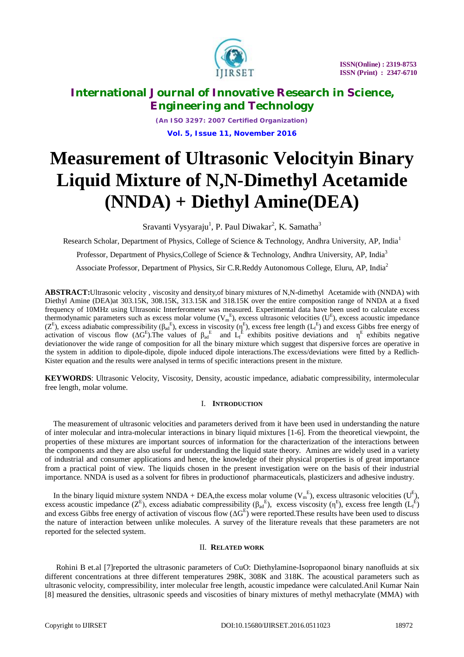

*(An ISO 3297: 2007 Certified Organization)* **Vol. 5, Issue 11, November 2016**

# **Measurement of Ultrasonic Velocityin Binary Liquid Mixture of N,N-Dimethyl Acetamide (NNDA) + Diethyl Amine(DEA)**

Sravanti Vysyaraju<sup>1</sup>, P. Paul Diwakar<sup>2</sup>, K. Samatha<sup>3</sup>

Research Scholar, Department of Physics, College of Science & Technology, Andhra University, AP, India<sup>1</sup>

Professor, Department of Physics, College of Science & Technology, Andhra University, AP, India<sup>3</sup>

Associate Professor, Department of Physics, Sir C.R.Reddy Autonomous College, Eluru, AP, India<sup>2</sup>

**ABSTRACT:**Ultrasonic velocity , viscosity and density,of binary mixtures of N,N-dimethyl Acetamide with (NNDA) with Diethyl Amine (DEA)at 303.15K, 308.15K, 313.15K and 318.15K over the entire composition range of NNDA at a fixed frequency of 10MHz using Ultrasonic Interferometer was measured. Experimental data have been used to calculate excess thermodynamic parameters such as excess molar volume  $(V_m^E)$ , excess ultrasonic velocities  $(U^E)$ , excess acoustic impedance ( $Z^E$ ), excess adiabatic compressibility ( $\beta_{ad}^E$ ), excess in viscosity ( $\eta^E$ ), excess free length ( $L_f^E$ ) and excess Gibbs free energy of activation of viscous flow ( $\Delta G^E$ ). The values of  $\beta_{ad}^E$  and  $L_f^E$  exhibits positive deviations and  $\eta^E$  exhibits negative deviationover the wide range of composition for all the binary mixture which suggest that dispersive forces are operative in the system in addition to dipole-dipole, dipole induced dipole interactions.The excess/deviations were fitted by a Redlich-Kister equation and the results were analysed in terms of specific interactions present in the mixture.

**KEYWORDS**: Ultrasonic Velocity, Viscosity, Density, acoustic impedance, adiabatic compressibility, intermolecular free length, molar volume.

### I. **INTRODUCTION**

The measurement of ultrasonic velocities and parameters derived from it have been used in understanding the nature of inter molecular and intra-molecular interactions in binary liquid mixtures [1-6]. From the theoretical viewpoint, the properties of these mixtures are important sources of information for the characterization of the interactions between the components and they are also useful for understanding the liquid state theory. Amines are widely used in a variety of industrial and consumer applications and hence, the knowledge of their physical properties is of great importance from a practical point of view. The liquids chosen in the present investigation were on the basis of their industrial importance. NNDA is used as a solvent for fibres in productionof pharmaceuticals, plasticizers and adhesive industry.

In the binary liquid mixture system NNDA + DEA, the excess molar volume  $(V_m^E)$ , excess ultrasonic velocities  $(U^E)$ , excess acoustic impedance  $(Z^E)$ , excess adiabatic compressibility  $(\beta_{ad}^E)$ , excess viscosity  $(\eta^E)$ , excess free length  $(L_f^E)$ and excess Gibbs free energy of activation of viscous flow  $(\Delta G^E)$  were reported. These results have been used to discuss the nature of interaction between unlike molecules. A survey of the literature reveals that these parameters are not reported for the selected system.

### II. **RELATED WORK**

Rohini B et.al [7]reported the ultrasonic parameters of CuO: Diethylamine-Isopropaonol binary nanofluids at six different concentrations at three different temperatures 298K, 308K and 318K. The acoustical parameters such as ultrasonic velocity, compressibility, inter molecular free length, acoustic impedance were calculated.Anil Kumar Nain [8] measured the densities, ultrasonic speeds and viscosities of binary mixtures of methyl methacrylate (MMA) with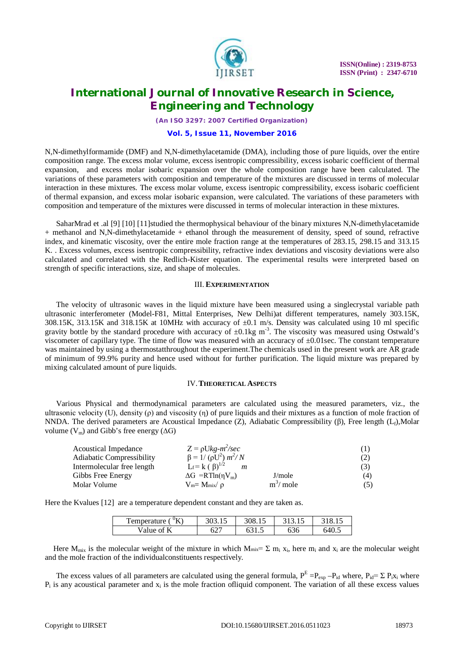

*(An ISO 3297: 2007 Certified Organization)*

### **Vol. 5, Issue 11, November 2016**

N,N-dimethylformamide (DMF) and N,N-dimethylacetamide (DMA), including those of pure liquids, over the entire composition range. The excess molar volume, excess isentropic compressibility, excess isobaric coefficient of thermal expansion, and excess molar isobaric expansion over the whole composition range have been calculated. The variations of these parameters with composition and temperature of the mixtures are discussed in terms of molecular interaction in these mixtures. The excess molar volume, excess isentropic compressibility, excess isobaric coefficient of thermal expansion, and excess molar isobaric expansion, were calculated. The variations of these parameters with composition and temperature of the mixtures were discussed in terms of molecular interaction in these mixtures.

SaharMrad et .al [9] [10] [11]studied the thermophysical behaviour of the binary mixtures N,N-dimethylacetamide + methanol and N,N-dimethylacetamide + ethanol through the measurement of density, speed of sound, refractive index, and kinematic viscosity, over the entire mole fraction range at the temperatures of 283.15, 298.15 and 313.15 K. . Excess volumes, excess isentropic compressibility, refractive index deviations and viscosity deviations were also calculated and correlated with the Redlich-Kister equation. The experimental results were interpreted based on strength of specific interactions, size, and shape of molecules.

### III. **EXPERIMENTATION**

The velocity of ultrasonic waves in the liquid mixture have been measured using a singlecrystal variable path ultrasonic interferometer (Model-F81, Mittal Enterprises, New Delhi)at different temperatures, namely 303.15K, 308.15K, 313.15K and 318.15K at 10MHz with accuracy of  $\pm 0.1$  m/s. Density was calculated using 10 ml specific gravity bottle by the standard procedure with accuracy of  $\pm 0.1$ kg m<sup>-3</sup>. The viscosity was measured using Ostwald's viscometer of capillary type. The time of flow was measured with an accuracy of  $\pm 0.01$  sec. The constant temperature was maintained by using a thermostatthroughout the experiment.The chemicals used in the present work are AR grade of minimum of 99.9% purity and hence used without for further purification. The liquid mixture was prepared by mixing calculated amount of pure liquids.

### IV.**THEORETICAL ASPECTS**

Various Physical and thermodynamical parameters are calculated using the measured parameters, viz., the ultrasonic velocity (U), density (ρ) and viscosity (η) of pure liquids and their mixtures as a function of mole fraction of NNDA. The derived parameters are Acoustical Impedance (Z), Adiabatic Compressibility (β), Free length  $(L_f)$ ,Molar volume  $(V_m)$  and Gibb's free energy ( $\Delta G$ )

| Acoustical Impedance       | $Z = \rho Ukg-m^2/sec$<br>$\beta = 1/(\rho U^2) m^2/N$ |              | (1) |
|----------------------------|--------------------------------------------------------|--------------|-----|
| Adiabatic Compressibility  | (2)                                                    |              |     |
| Intermolecular free length | (3)                                                    |              |     |
| Gibbs Free Energy          | $\Delta G = RT \ln(nV_m)$                              | J/mole       | (4) |
| Molar Volume               | $V_m = M_{mix}/\rho$                                   | $m^3$ / mole | (5) |

Here the Kvalues [12] are a temperature dependent constant and they are taken as.

| $\mathrm{K}$<br><b></b><br>l'emperature ' | JUJ.IJ | 308.15 |     |      |
|-------------------------------------------|--------|--------|-----|------|
| Value of                                  | 627    | UJ 1.J | 636 | n4∪. |

Here  $M_{mix}$  is the molecular weight of the mixture in which  $M_{mix} = \Sigma m_i x_i$ , here  $m_i$  and  $x_i$  are the molecular weight and the mole fraction of the individualconstituents respectively.

The excess values of all parameters are calculated using the general formula,  $P^E = P_{exp} - P_{id}$  where,  $P_{id} = \sum P_i x_i$  where  $P_i$  is any acoustical parameter and  $x_i$  is the mole fraction of liquid component. The variation of all these excess values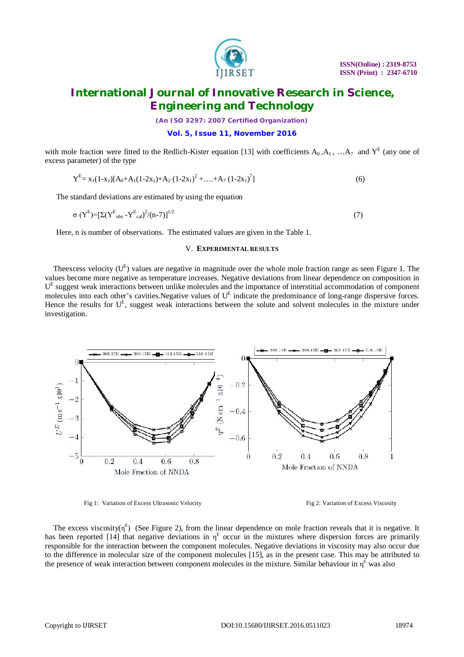

*(An ISO 3297: 2007 Certified Organization)*

### **Vol. 5, Issue 11, November 2016**

with mole fraction were fitted to the Redlich-Kister equation [13] with coefficients  $A_0$ ,  $A_1$ , ...  $A_7$  and  $Y^E$  (any one of excess parameter) of the type

$$
Y^{E} = x_1(1-x_1)[A_0 + A_1(1-2x_1) + A_2(1-2x_1)^2 + \dots + A_7(1-2x_1)^7]
$$
\n(6)

The standard deviations are estimated by using the equation

$$
\sigma (Y^{\rm E}) = \left[ \Sigma (Y^{\rm E}{}_{\rm obs} - Y^{\rm E}{}_{\rm cal})^2 / (n-7) \right]^{1/2} \tag{7}
$$

Here, n is number of observations. The estimated values are given in the Table 1.

### V. **EXPERIMENTAL RESULTS**

The excess velocity  $(U<sup>E</sup>)$  values are negative in magnitude over the whole mole fraction range as seen Figure 1. The values become more negative as temperature increases. Negative deviations from linear dependence on composition in U<sup>E</sup> suggest weak interactions between unlike molecules and the importance of interstitial accommodation of component molecules into each other's cavities.Negative values of U<sup>E</sup> indicate the predominance of long-range dispersive forces. Hence the results for  $U<sup>E</sup>$ , suggest weak interactions between the solute and solvent molecules in the mixture under investigation.



Fig 1: Variation of Excess Ultrasonic Velocity Fig 2: Variation of Excess Viscosity

The excess viscosity( $\eta^E$ ) (See Figure 2), from the linear dependence on mole fraction reveals that it is negative. It has been reported [14] that negative deviations in  $\eta^E$  occur in the mixtures where dispersion forces are primarily responsible for the interaction between the component molecules. Negative deviations in viscosity may also occur due to the difference in molecular size of the component molecules [15], as in the present case. This may be attributed to the presence of weak interaction between component molecules in the mixture. Similar behaviour in  $\eta^E$  was also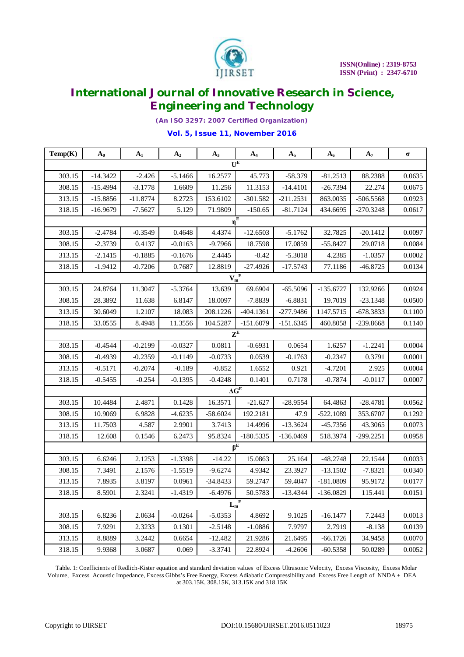

*(An ISO 3297: 2007 Certified Organization)*

### **Vol. 5, Issue 11, November 2016**

| Temp(K)          | $A_0$                       | $A_1$      | A <sub>2</sub> | $A_3$      | $A_4$                | $A_5$       | $A_6$       | A <sub>7</sub> | $\sigma$ |
|------------------|-----------------------------|------------|----------------|------------|----------------------|-------------|-------------|----------------|----------|
| $U^E$            |                             |            |                |            |                      |             |             |                |          |
| 303.15           | $-14.3422$                  | $-2.426$   | $-5.1466$      | 16.2577    | 45.773               | $-58.379$   | $-81.2513$  | 88.2388        | 0.0635   |
| 308.15           | $-15.4994$                  | $-3.1778$  | 1.6609         | 11.256     | 11.3153              | $-14.4101$  | $-26.7394$  | 22.274         | 0.0675   |
| 313.15           | $-15.8856$                  | $-11.8774$ | 8.2723         | 153.6102   | $-301.582$           | $-211.2531$ | 863.0035    | $-506.5568$    | 0.0923   |
| 318.15           | $-16.9679$                  | $-7.5627$  | 5.129          | 71.9809    | $-150.65$            | $-81.7124$  | 434.6695    | $-270.3248$    | 0.0617   |
|                  |                             |            |                |            | $\eta^{\rm E}$       |             |             |                |          |
| 303.15           | $-2.4784$                   | $-0.3549$  | 0.4648         | 4.4374     | $-12.6503$           | $-5.1762$   | 32.7825     | $-20.1412$     | 0.0097   |
| 308.15           | $-2.3739$                   | 0.4137     | $-0.0163$      | $-9.7966$  | 18.7598              | 17.0859     | $-55.8427$  | 29.0718        | 0.0084   |
| 313.15           | $-2.1415$                   | $-0.1885$  | $-0.1676$      | 2.4445     | $-0.42$              | $-5.3018$   | 4.2385      | $-1.0357$      | 0.0002   |
| 318.15           | $-1.9412$                   | $-0.7206$  | 0.7687         | 12.8819    | $-27.4926$           | $-17.5743$  | 77.1186     | $-46.8725$     | 0.0134   |
|                  | $\mathbf{V_m}^{\mathbf{E}}$ |            |                |            |                      |             |             |                |          |
| 303.15           | 24.8764                     | 11.3047    | $-5.3764$      | 13.639     | 69.6904              | $-65.5096$  | $-135.6727$ | 132.9266       | 0.0924   |
| 308.15           | 28.3892                     | 11.638     | 6.8147         | 18.0097    | $-7.8839$            | $-6.8831$   | 19.7019     | $-23.1348$     | 0.0500   |
| 313.15           | 30.6049                     | 1.2107     | 18.083         | 208.1226   | $-404.1361$          | -277.9486   | 1147.5715   | $-678.3833$    | 0.1100   |
| 318.15           | 33.0555                     | 8.4948     | 11.3556        | 104.5287   | $-151.6079$          | $-151.6345$ | 460.8058    | $-239.8668$    | 0.1140   |
|                  |                             |            |                |            | $\mathbf{Z}^{\rm E}$ |             |             |                |          |
| 303.15           | $-0.4544$                   | $-0.2199$  | $-0.0327$      | 0.0811     | $-0.6931$            | 0.0654      | 1.6257      | $-1.2241$      | 0.0004   |
| 308.15           | $-0.4939$                   | $-0.2359$  | $-0.1149$      | $-0.0733$  | 0.0539               | $-0.1763$   | $-0.2347$   | 0.3791         | 0.0001   |
| 313.15           | $-0.5171$                   | $-0.2074$  | $-0.189$       | $-0.852$   | 1.6552               | 0.921       | $-4.7201$   | 2.925          | 0.0004   |
| 318.15           | $-0.5455$                   | $-0.254$   | $-0.1395$      | $-0.4248$  | 0.1401               | 0.7178      | $-0.7874$   | $-0.0117$      | 0.0007   |
|                  |                             |            |                |            | $\Delta G^E$         |             |             |                |          |
| 303.15           | 10.4484                     | 2.4871     | 0.1428         | 16.3571    | $-21.627$            | $-28.9554$  | 64.4863     | $-28.4781$     | 0.0562   |
| 308.15           | 10.9069                     | 6.9828     | $-4.6235$      | $-58.6024$ | 192.2181             | 47.9        | $-522.1089$ | 353.6707       | 0.1292   |
| 313.15           | 11.7503                     | 4.587      | 2.9901         | 3.7413     | 14.4996              | $-13.3624$  | $-45.7356$  | 43.3065        | 0.0073   |
| 318.15           | 12.608                      | 0.1546     | 6.2473         | 95.8324    | $-180.5335$          | $-136.0469$ | 518.3974    | $-299.2251$    | 0.0958   |
| $\beta^E$        |                             |            |                |            |                      |             |             |                |          |
| 303.15           | 6.6246                      | 2.1253     | $-1.3398$      | $-14.22$   | 15.0863              | 25.164      | $-48.2748$  | 22.1544        | 0.0033   |
| 308.15           | 7.3491                      | 2.1576     | $-1.5519$      | $-9.6274$  | 4.9342               | 23.3927     | $-13.1502$  | $-7.8321$      | 0.0340   |
| 313.15           | 7.8935                      | 3.8197     | 0.0961         | $-34.8433$ | 59.2747              | 59.4047     | $-181.0809$ | 95.9172        | 0.0177   |
| 318.15           | 8.5901                      | 2.3241     | $-1.4319$      | $-6.4976$  | 50.5783              | $-13.4344$  | $-136.0829$ | 115.441        | 0.0151   |
| $\mathbf{L_m}^E$ |                             |            |                |            |                      |             |             |                |          |
| 303.15           | 6.8236                      | 2.0634     | $-0.0264$      | $-5.0353$  | 4.8692               | 9.1025      | $-16.1477$  | 7.2443         | 0.0013   |
| 308.15           | 7.9291                      | 2.3233     | 0.1301         | $-2.5148$  | $-1.0886$            | 7.9797      | 2.7919      | $-8.138$       | 0.0139   |
| 313.15           | 8.8889                      | 3.2442     | 0.6654         | $-12.482$  | 21.9286              | 21.6495     | $-66.1726$  | 34.9458        | 0.0070   |
| 318.15           | 9.9368                      | 3.0687     | 0.069          | $-3.3741$  | 22.8924              | $-4.2606$   | $-60.5358$  | 50.0289        | 0.0052   |

Table. 1: Coefficients of Redlich-Kister equation and standard deviation values of Excess Ultrasonic Velocity, Excess Viscosity, Excess Molar Volume, Excess Acoustic Impedance, Excess Gibbs's Free Energy, Excess Adiabatic Compressibility and Excess Free Length of NNDA + DEA at 303.15K, 308.15K, 313.15K and 318.15K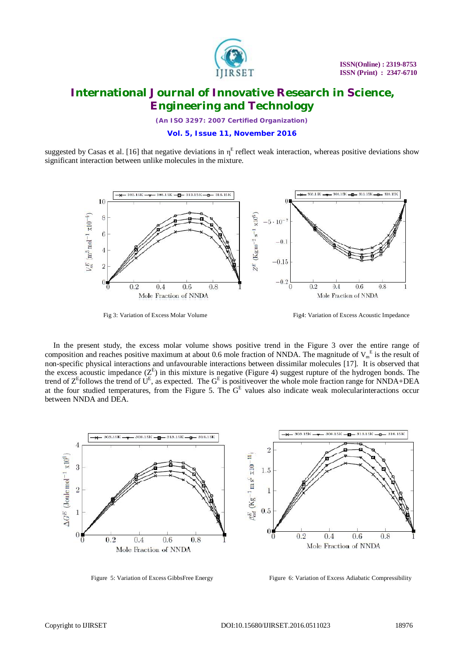

*(An ISO 3297: 2007 Certified Organization)*

### **Vol. 5, Issue 11, November 2016**

suggested by Casas et al. [16] that negative deviations in  $\eta^E$  reflect weak interaction, whereas positive deviations show significant interaction between unlike molecules in the mixture.



Fig 3: Variation of Excess Molar Volume Fig4: Variation of Excess Acoustic Impedance

In the present study, the excess molar volume shows positive trend in the Figure 3 over the entire range of composition and reaches positive maximum at about 0.6 mole fraction of NNDA. The magnitude of  $V_m^E$  is the result of non-specific physical interactions and unfavourable interactions between dissimilar molecules [17]. It is observed that the excess acoustic impedance  $(Z^E)$  in this mixture is negative (Figure 4) suggest rupture of the hydrogen bonds. The trend of  $Z^E$  follows the trend of  $U^E$ , as expected. The  $G^E$  is positive over the whole mole fraction range for NNDA+DEA at the four studied temperatures, from the Figure 5. The  $G<sup>E</sup>$  values also indicate weak molecularinteractions occur between NNDA and DEA.



Figure 5: Variation of Excess GibbsFree Energy

Figure 6: Variation of Excess Adiabatic Compressibility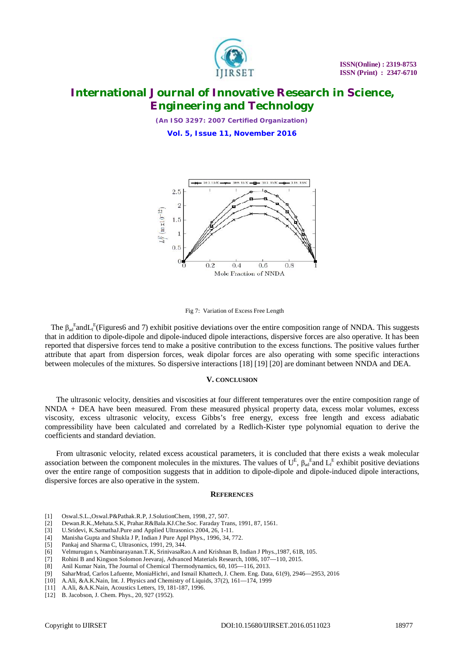

*(An ISO 3297: 2007 Certified Organization)*

**Vol. 5, Issue 11, November 2016**



#### Fig 7: Variation of Excess Free Length

The  $\beta_{ad}^E$  and L<sub>f</sub><sup>E</sup>(Figures6 and 7) exhibit positive deviations over the entire composition range of NNDA. This suggests that in addition to dipole-dipole and dipole-induced dipole interactions, dispersive forces are also operative. It has been reported that dispersive forces tend to make a positive contribution to the excess functions. The positive values further attribute that apart from dispersion forces, weak dipolar forces are also operating with some specific interactions between molecules of the mixtures. So dispersive interactions [18] [19] [20] are dominant between NNDA and DEA.

### **V. CONCLUSION**

The ultrasonic velocity, densities and viscosities at four different temperatures over the entire composition range of NNDA + DEA have been measured. From these measured physical property data, excess molar volumes, excess viscosity, excess ultrasonic velocity, excess Gibbs's free energy, excess free length and excess adiabatic compressibility have been calculated and correlated by a Redlich-Kister type polynomial equation to derive the coefficients and standard deviation.

From ultrasonic velocity, related excess acoustical parameters, it is concluded that there exists a weak molecular association between the component molecules in the mixtures. The values of  $U^E$ ,  $\beta_{ad}^E$  and  $L_f^E$  exhibit positive deviations over the entire range of composition suggests that in addition to dipole-dipole and dipole-induced dipole interactions, dispersive forces are also operative in the system.

#### **REFERENCES**

- 
- [1] Oswal.S.L.,Oswal.P&Pathak.R.P, J.SolutionChem, 1998, 27, 507. [2] Dewan.R.K.,Mehata.S.K, Prahar.R&Bala.KJ.Che.Soc. Faraday Trans, 1991, 87, 1561.
- [3] U.Sridevi, K.SamathaJ.Pure and Applied Ultrasonics 2004, 26, 1-11.
- [4] Manisha Gupta and Shukla J P, Indian J Pure Appl Phys., 1996, 34, 772.
- [5] Pankaj and Sharma C, Ultrasonics, 1991, 29, 344.
- [6] Velmurugan s, Nambinarayanan.T.K, SrinivasaRao.A and Krishnan B, Indian J Phys.,1987, 61B, 105.
- [7] Rohini B and Kingson Solomon Jeevaraj, Advanced Materials Research, 1086, 107—110, 2015.
- [8] Anil Kumar Nain, The Journal of Chemical Thermodynamics, 60, 105—116, 2013.
- [9] SaharMrad, Carlos Lafuente, MoniaHichri, and Ismail Khattech, J. Chem. Eng. Data, 61(9), 2946—2953, 2016
- [10] A.Ali, &A.K.Nain, Int. J. Physics and Chemistry of Liquids, 37(2), 161—174, 1999
- [11] A.Ali, &A.K.Nain, Acoustics Letters, 19, 181-187, 1996.
- [12] B. Jacobson, J. Chem. Phys., 20, 927 (1952).